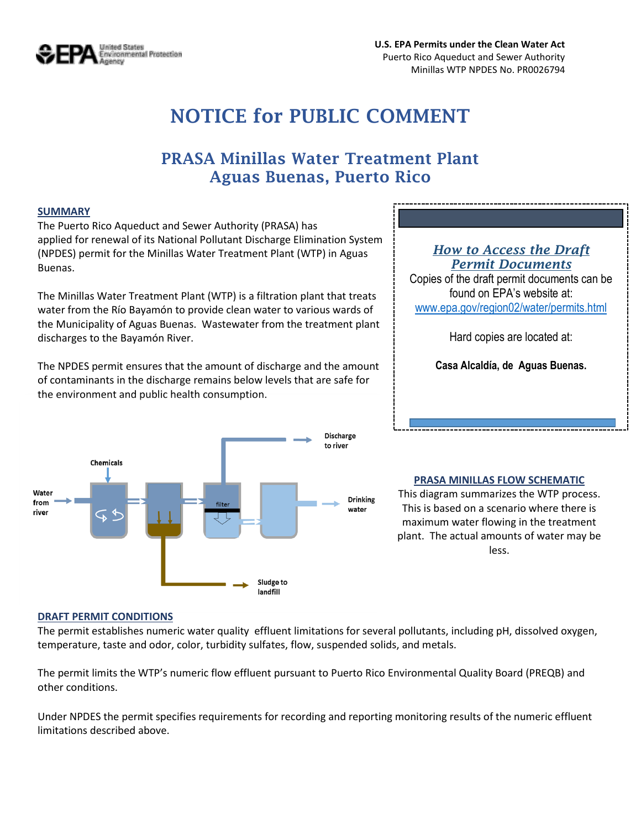

# **NOTICE for PUBLIC COMMENT**

# **PRASA Minillas Water Treatment Plant Aguas Buenas, Puerto Rico**

#### **SUMMARY**

The Puerto Rico Aqueduct and Sewer Authority (PRASA) has applied for renewal of its National Pollutant Discharge Elimination System (NPDES) permit for the Minillas Water Treatment Plant (WTP) in Aguas Buenas.

The Minillas Water Treatment Plant (WTP) is a filtration plant that treats water from the Río Bayamón to provide clean water to various wards of the Municipality of Aguas Buenas. Wastewater from the treatment plant discharges to the Bayamón River.

The NPDES permit ensures that the amount of discharge and the amount of contaminants in the discharge remains below levels that are safe for the environment and public health consumption.



### *How to Access the Draft Permit Documents*

Copies of the draft permit documents can be found on EPA's website at: [www.epa.gov/region02/water/permits.html](http://www.epa.gov/region02/water/permits.html)

Hard copies are located at:

**Casa Alcaldía, de Aguas Buenas.**

#### **PRASA MINILLAS FLOW SCHEMATIC**

This diagram summarizes the WTP process. This is based on a scenario where there is maximum water flowing in the treatment plant. The actual amounts of water may be less.

#### **DRAFT PERMIT CONDITIONS**

The permit establishes numeric water quality effluent limitations for several pollutants, including pH, dissolved oxygen, temperature, taste and odor, color, turbidity sulfates, flow, suspended solids, and metals.

The permit limits the WTP's numeric flow effluent pursuant to Puerto Rico Environmental Quality Board (PREQB) and other conditions.

Under NPDES the permit specifies requirements for recording and reporting monitoring results of the numeric effluent limitations described above.